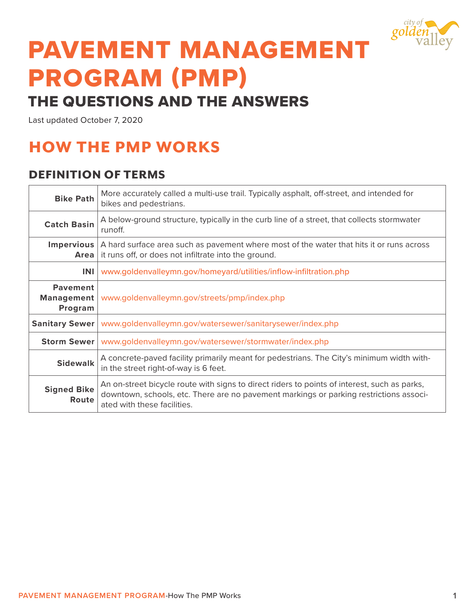

# PAVEMENT MANAGEMENT PROGRAM (PMP)

## THE QUESTIONS AND THE ANSWERS

Last updated October 7, 2020

# HOW THE PMP WORKS

## DEFINITION OF TERMS

| <b>Bike Path</b>                                | More accurately called a multi-use trail. Typically asphalt, off-street, and intended for<br>bikes and pedestrians.                                                                                                   |
|-------------------------------------------------|-----------------------------------------------------------------------------------------------------------------------------------------------------------------------------------------------------------------------|
| <b>Catch Basin</b>                              | A below-ground structure, typically in the curb line of a street, that collects stormwater<br>runoff.                                                                                                                 |
| <b>Impervious</b><br><b>Area</b>                | A hard surface area such as pavement where most of the water that hits it or runs across<br>it runs off, or does not infiltrate into the ground.                                                                      |
| <b>INI</b>                                      | www.goldenvalleymn.gov/homeyard/utilities/inflow-infiltration.php                                                                                                                                                     |
| <b>Pavement</b><br><b>Management</b><br>Program | www.goldenvalleymn.gov/streets/pmp/index.php                                                                                                                                                                          |
| <b>Sanitary Sewer</b>                           | www.goldenvalleymn.gov/watersewer/sanitarysewer/index.php                                                                                                                                                             |
| <b>Storm Sewer</b>                              | www.goldenvalleymn.gov/watersewer/stormwater/index.php                                                                                                                                                                |
| <b>Sidewalk</b>                                 | A concrete-paved facility primarily meant for pedestrians. The City's minimum width with-<br>in the street right-of-way is 6 feet.                                                                                    |
| <b>Signed Bike</b><br>Route                     | An on-street bicycle route with signs to direct riders to points of interest, such as parks,<br>downtown, schools, etc. There are no pavement markings or parking restrictions associ-<br>ated with these facilities. |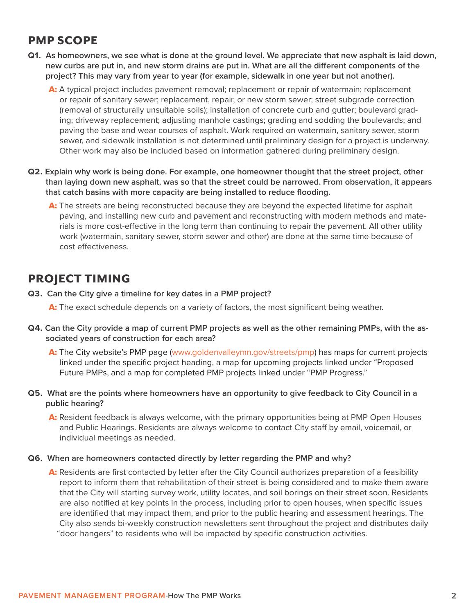## PMP SCOPE

- **Q1. As homeowners, we see what is done at the ground level. We appreciate that new asphalt is laid down, new curbs are put in, and new storm drains are put in. What are all the different components of the project? This may vary from year to year (for example, sidewalk in one year but not another).** 
	- A: A typical project includes pavement removal; replacement or repair of watermain; replacement or repair of sanitary sewer; replacement, repair, or new storm sewer; street subgrade correction (removal of structurally unsuitable soils); installation of concrete curb and gutter; boulevard grading; driveway replacement; adjusting manhole castings; grading and sodding the boulevards; and paving the base and wear courses of asphalt. Work required on watermain, sanitary sewer, storm sewer, and sidewalk installation is not determined until preliminary design for a project is underway. Other work may also be included based on information gathered during preliminary design.
- **Q2. Explain why work is being done. For example, one homeowner thought that the street project, other than laying down new asphalt, was so that the street could be narrowed. From observation, it appears that catch basins with more capacity are being installed to reduce flooding.** 
	- A: The streets are being reconstructed because they are beyond the expected lifetime for asphalt paving, and installing new curb and pavement and reconstructing with modern methods and materials is more cost-effective in the long term than continuing to repair the pavement. All other utility work (watermain, sanitary sewer, storm sewer and other) are done at the same time because of cost effectiveness.

## PROJECT TIMING

**Q3. Can the City give a timeline for key dates in a PMP project?** 

A: The exact schedule depends on a variety of factors, the most significant being weather.

- **Q4. Can the City provide a map of current PMP projects as well as the other remaining PMPs, with the associated years of construction for each area?** 
	- A: The City website's PMP page (www.goldenvalleymn.gov/streets/pmp) has maps for current projects linked under the specific project heading, a map for upcoming projects linked under "Proposed Future PMPs, and a map for completed PMP projects linked under "PMP Progress."
- **Q5. What are the points where homeowners have an opportunity to give feedback to City Council in a public hearing?** 
	- A: Resident feedback is always welcome, with the primary opportunities being at PMP Open Houses and Public Hearings. Residents are always welcome to contact City staff by email, voicemail, or individual meetings as needed.
- **Q6. When are homeowners contacted directly by letter regarding the PMP and why?** 
	- A: Residents are first contacted by letter after the City Council authorizes preparation of a feasibility report to inform them that rehabilitation of their street is being considered and to make them aware that the City will starting survey work, utility locates, and soil borings on their street soon. Residents are also notified at key points in the process, including prior to open houses, when specific issues are identified that may impact them, and prior to the public hearing and assessment hearings. The City also sends bi-weekly construction newsletters sent throughout the project and distributes daily "door hangers" to residents who will be impacted by specific construction activities.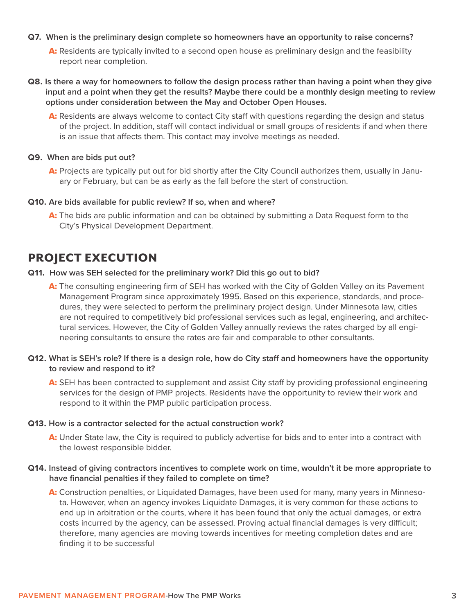#### **Q7. When is the preliminary design complete so homeowners have an opportunity to raise concerns?**

- A: Residents are typically invited to a second open house as preliminary design and the feasibility report near completion.
- **Q8. Is there a way for homeowners to follow the design process rather than having a point when they give input and a point when they get the results? Maybe there could be a monthly design meeting to review options under consideration between the May and October Open Houses.** 
	- A: Residents are always welcome to contact City staff with questions regarding the design and status of the project. In addition, staff will contact individual or small groups of residents if and when there is an issue that affects them. This contact may involve meetings as needed.

#### **Q9. When are bids put out?**

A: Projects are typically put out for bid shortly after the City Council authorizes them, usually in January or February, but can be as early as the fall before the start of construction.

#### **Q10. Are bids available for public review? If so, when and where?**

A: The bids are public information and can be obtained by submitting a Data Request form to the City's Physical Development Department.

## PROJECT EXECUTION

#### **Q11. How was SEH selected for the preliminary work? Did this go out to bid?**

- A: The consulting engineering firm of SEH has worked with the City of Golden Valley on its Pavement Management Program since approximately 1995. Based on this experience, standards, and procedures, they were selected to perform the preliminary project design. Under Minnesota law, cities are not required to competitively bid professional services such as legal, engineering, and architectural services. However, the City of Golden Valley annually reviews the rates charged by all engineering consultants to ensure the rates are fair and comparable to other consultants.
- **Q12. What is SEH's role? If there is a design role, how do City staff and homeowners have the opportunity to review and respond to it?** 
	- A: SEH has been contracted to supplement and assist City staff by providing professional engineering services for the design of PMP projects. Residents have the opportunity to review their work and respond to it within the PMP public participation process.

#### **Q13. How is a contractor selected for the actual construction work?**

A: Under State law, the City is required to publicly advertise for bids and to enter into a contract with the lowest responsible bidder.

## **Q14. Instead of giving contractors incentives to complete work on time, wouldn't it be more appropriate to have financial penalties if they failed to complete on time?**

A: Construction penalties, or Liquidated Damages, have been used for many, many years in Minnesota. However, when an agency invokes Liquidate Damages, it is very common for these actions to end up in arbitration or the courts, where it has been found that only the actual damages, or extra costs incurred by the agency, can be assessed. Proving actual financial damages is very difficult; therefore, many agencies are moving towards incentives for meeting completion dates and are finding it to be successful